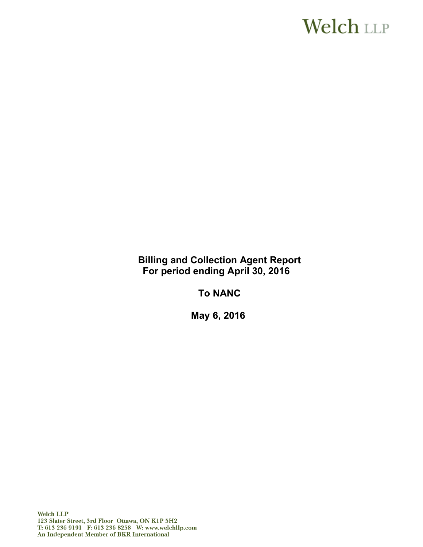# **Welch LLP**

**Billing and Collection Agent Report For period ending April 30, 2016**

**To NANC**

**May 6, 2016**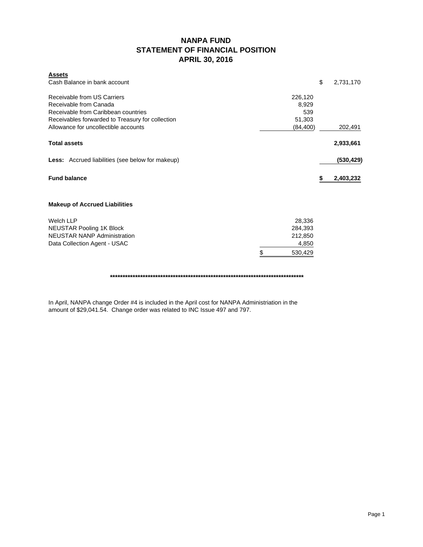### **NANPA FUND STATEMENT OF FINANCIAL POSITION APRIL 30, 2016**

| <u>Assets</u><br>Cash Balance in bank account                                                                                                                                            |                                                        | \$<br>2,731,170 |
|------------------------------------------------------------------------------------------------------------------------------------------------------------------------------------------|--------------------------------------------------------|-----------------|
| Receivable from US Carriers<br>Receivable from Canada<br>Receivable from Caribbean countries<br>Receivables forwarded to Treasury for collection<br>Allowance for uncollectible accounts | 226,120<br>8,929<br>539<br>51,303<br>(84, 400)         | 202,491         |
| <b>Total assets</b>                                                                                                                                                                      |                                                        | 2,933,661       |
| <b>Less:</b> Accrued liabilities (see below for makeup)                                                                                                                                  |                                                        | (530, 429)      |
| <b>Fund balance</b>                                                                                                                                                                      |                                                        | 2,403,232       |
| <b>Makeup of Accrued Liabilities</b>                                                                                                                                                     |                                                        |                 |
| <b>Welch LLP</b><br><b>NEUSTAR Pooling 1K Block</b><br><b>NEUSTAR NANP Administration</b><br>Data Collection Agent - USAC                                                                | 28,336<br>284,393<br>212,850<br>4,850<br>\$<br>530,429 |                 |

**\*\*\*\*\*\*\*\*\*\*\*\*\*\*\*\*\*\*\*\*\*\*\*\*\*\*\*\*\*\*\*\*\*\*\*\*\*\*\*\*\*\*\*\*\*\*\*\*\*\*\*\*\*\*\*\*\*\*\*\*\*\*\*\*\*\*\*\*\*\*\*\*\*\*\*\*\***

In April, NANPA change Order #4 is included in the April cost for NANPA Administriation in the amount of \$29,041.54. Change order was related to INC Issue 497 and 797.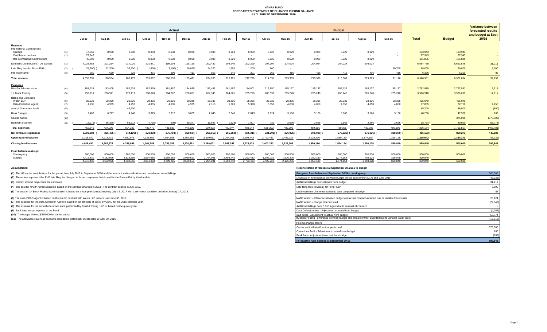#### **NANPA FUND FORECASTED STATEMENT OF CHANGES IN FUND BALANCE JULY 2015 TO SEPTEMBER 2016**

|                                          |            | Actual                   |                      |                      |                      |                      |                      |                           | <b>Budget</b>        |                      |                                                              |                      |                      |                      |                             | <b>Variance between</b><br>forecasted results |                    |                   |            |
|------------------------------------------|------------|--------------------------|----------------------|----------------------|----------------------|----------------------|----------------------|---------------------------|----------------------|----------------------|--------------------------------------------------------------|----------------------|----------------------|----------------------|-----------------------------|-----------------------------------------------|--------------------|-------------------|------------|
|                                          |            | <b>Jul-15</b>            | Aug-15               | Sep-15               | Oct-15               | <b>Nov-15</b>        | Dec-15               | $Jan-16$                  | Feb-16               | Mar-16               | <b>Jul-16</b><br>Mav-16<br><b>Jun-16</b><br>Aug-16<br>Apr-16 | Sep-16               | <b>Total</b>         | <b>Budget</b>        | and budget at Sept<br>30/16 |                                               |                    |                   |            |
| Revenue                                  |            |                          |                      |                      |                      |                      |                      |                           |                      |                      |                                                              |                      |                      |                      |                             |                                               |                    |                   |            |
| <b>International Contributions</b>       |            |                          |                      |                      |                      |                      |                      |                           |                      |                      |                                                              |                      |                      |                      |                             |                                               |                    |                   |            |
| Canada<br>Caribbean countries            | (1)<br>(1) | 17,860<br>27,943         | 8,930<br>$\sim$      | 8,930<br>$\sim 100$  | 8,930<br>$\sim$      | 8,930<br>$\sim$      | 8,930                | 8,930<br>$\sim$ 100 $\mu$ | 8,929<br>$\sim$      | 8,929<br>$\sim$ $-$  | 8,929<br>$\sim$ 100 $\mu$                                    | 8,929<br>$\sim$ $-$  | 8,929<br>$\sim$ $-$  | 8,929<br>$\sim$ $-$  | 8,929<br>$\sim$             | $\sim$                                        | 133,943<br>27,943  | 133,943<br>27,943 |            |
| <b>Total International Contributions</b> |            | 45,803                   | 8,930                | 8,930                | 8,930                | 8,930                | 8,930                | 8,930                     | 8,929                | 8,929                | 8,929                                                        | 8,929                | 8,929                | 8,929                | 8,929                       | $\sim$                                        | 161,886            | 161,886           |            |
| Domestic Contributions - US carriers     | (1)        | 4,038,482                | 201,264              | 217,020              | 201,871              | 199,904              | 198,150              | 200,430                   | 204,946              | 202,299              | 204,297                                                      | 204,024              | 204,024              | 204,024              | 204,024                     |                                               | 6,684,759          | 6,653,548         | 31,211     |
| Late filing fees for Form 499A           | (2)        | 28,900)                  | 12,300)              | 33,600               | 1,600)               | 3,100                | 18,020)              | 24,320                    | 1,500                | 1,200                | 600                                                          |                      |                      |                      |                             | 90,700                                        | 88,000             | 80,000            | 8,000      |
| Interest income                          | (3)        | 350                      | 660                  | 623                  | 401                  | 396                  | 411                  | 503                       | 346                  | 301                  | 265                                                          | 416                  | 416                  | 416                  | 416                         | 416                                           | 6,336              | 6,250             | 86         |
| <b>Total revenue</b>                     |            | 4.055.735                | 198.554              | 260.173              | 209,602              | 206,130              | 189.471              | 234.183                   | 215,721              | 212,729              | 214.091                                                      | 213,369              | 213,369              | 213,369              | 213,369                     | 91.116                                        | 6.940.981          | 6.901.684         | 39,297     |
| <b>Expenses</b>                          |            |                          |                      |                      |                      |                      |                      |                           |                      |                      |                                                              |                      |                      |                      |                             |                                               |                    |                   |            |
| <b>NANPA Administration</b>              | (4)        | 181,724                  | 183,408              | 182,926              | 182,999              | 181,497              | 184,095              | 181,497                   | 181,497              | 184,801              | 212,850                                                      | 185,137              | 185,137              | 185,137              | 185,137                     | 185,137                                       | 2,782,979          | 2,777,061         | 5,918      |
| 1K Block Pooling                         | (5)        | 253,919                  | 266,971              | 270,119              | 268,620              | 264,362              | 266,061              | 264,343                   | 264,801              | 265,729              | 285,393                                                      | 265,240              | 265,240              | 265,240              | 265,240                     | 265,240                                       | 3,996,518          | 3,978,606         | 17,912     |
| <b>Billing and Collection</b>            |            |                          |                      |                      |                      |                      |                      |                           |                      |                      |                                                              |                      |                      |                      |                             |                                               |                    |                   |            |
| Welch LLP<br>Data Collection Agent       | (6)<br>(7) | 28,336<br>4,935          | 28,336<br>4,935      | 28,336<br>4,952      | 28,336<br>4,935      | 28,336<br>4,935      | 28,336<br>4,935      | 28,336<br>7,115           | 28,336<br>5,328      | 28,336<br>5,328      | 28,336<br>5,357                                              | 28,336<br>4,850      | 28,336<br>4,850      | 28,336<br>4,850      | 28,336<br>4,850             | 28,336<br>4.850                               | 425,040<br>77,005  | 425,040<br>72,750 | 4,255      |
| <b>Annual Operations Audit</b>           | (8)        | $\sim$ $-$               | $\sim$               | 45,200               | $\sim$               | $\sim$ $-$           | $\sim$               | $\sim$                    |                      | $\sim$               | $\sim$                                                       |                      | $\sim$               |                      | $\sim$                      | $\sim$                                        | 45,200             | 46,000            | (800)      |
| <b>Bank Charges</b>                      | (9)        | 2.407                    | 6.727                | 4,248                | 3.375                | 2,912                | 3.055                | 2.645                     | 2.340                | 2.043                | 2.624                                                        | 3.166                | 3.166                | 3.166                | 3.166                       | 3.166                                         | 48,206             | 47,500            | 706        |
| Carrier Audits                           | (10)       | $\overline{\phantom{a}}$ | $\sim$               | $\sim$               |                      | $\sim$               | $\sim$               |                           |                      |                      |                                                              |                      |                      |                      |                             | $\sim$                                        |                    | 375,000           | (375,000)  |
| Bad debt expense                         | (11)       | 18.975)                  | 56,368)              | 68,512               | 4,795)               |                      | 38,377)              | 16,897                    | 1,328                | 1,807                | 732                                                          | 2,666                | 2,666                | 2,666                | 2,666                       | 2,666                                         | 18,774)            | 40,000            | (58, 774)  |
|                                          |            |                          |                      |                      |                      | 209)                 |                      |                           |                      |                      |                                                              |                      |                      |                      |                             |                                               |                    |                   |            |
| <b>Total expenses</b>                    |            | 452,346                  | 434,009              | 604,293              | 483,470              | 481,833              | 448,105              | 500,833                   | 480,974              | 488,044              | 535,292                                                      | 489,395              | 489,395              | 489,395              | 489,395                     | 489,395                                       | 7,356,174          | 7,761,957         | (405, 783) |
| Net revenue (expenses)                   |            | 3,603,389                | 235,455)             | 344,120)             | 273,868)             | 275,703)             | 258,634)             | 266,650)                  | 265,253)             | 275,315)             | 321,201) (                                                   | 276,026) (           | 276,026)             | 276,026)             | 276,026)                    | 398,279)                                      | 415,193) (         | 860,273)          | 445,080    |
| <b>Opening fund balance</b>              |            | 1,315,042                | 4,918,431            | 4.682.976            | 4.338.856            | 4.064.988            | 3,789,285            | 3,530,651                 | 3,264,001            | 2,998,748            | 2,723,433                                                    | 2,402,232            | 2,126,206            | 1,850,180            | 1,574,154                   | 1,298,128                                     | 1,315,042          | 1,360,273         | (45, 231)  |
| <b>Closing fund balance</b>              |            | 4.918.431                | 4,682,976            | 4,338,856            | 4,064,988            | 3,789,285            | 3,530,651            | 3,264,001                 | 2,998,748            | 2,723,433            | 2,402,232                                                    | 2,126,206            | 1,850,180            | 1,574,154            | 1,298,128                   | 899.849                                       | 899,849            | 500,000           | 399,849    |
| Fund balance makeup:                     |            |                          |                      |                      |                      |                      |                      |                           |                      |                      |                                                              |                      |                      |                      |                             |                                               |                    |                   |            |
| Contingency<br>Surplus                   |            | 500,000<br>4.418.431     | 500,000<br>4.182.976 | 500,000<br>3.838.856 | 500,000<br>3.564.988 | 500,000<br>3.289.285 | 500,000<br>3.030.651 | 500,000<br>2.764.001      | 500,000<br>2.498.748 | 500,000<br>2,223,433 | 500,000<br>1.902.232                                         | 500,000<br>1.626.206 | 500,000<br>1.350.180 | 500,000<br>1.074.154 | 500,000<br>798.128          | 500,000<br>399.849                            | 500,000<br>399.849 | 500,000           |            |
|                                          |            | 4.918.431                | 4.682.976            | 4.338.856            | 4.064.988            | 3.789.285            | 3.530.651            | 3.264.001                 | 2.998.748            | 2.723.433            | 2.402.232                                                    | 2.126.206            | 1.850.180            | 1.574.154            | 1.298.128                   | 899.849                                       | 899.849            | 500,000           |            |

**(1)** The US carrier contributions for the period from July 2015 to September 2016 and the International contributions are based upon actual billings.

(2) These fees represent the \$100 late filing fee charged to those companies that do not file the Form 499A by the due date.

**(3)** Interest income projections are estimates

**(4)** The cost for NANP Administration is based on the contract awarded in 2013. The contract expires in July 2017.

(5) The cost for 1K Block Pooling Administration is based on a four-year contract expiring July 14, 2017 with a six-month transition period to January 14, 2018.

**(6)** The cost of B&C Agent is based on the interim contract with Welch LLP in force until June 30, 2016.

**(7)** The expense for the Data Collection Agent is based on an estimate of costs by USAC for the 2015 calendar year.

**(8)** The expense for the annual operations audit performed by Ernst & Young LLP is based on the quote given.

**(9)** Bank fees are an expense to the Fund.

**(10)** The budget allowed \$375,000 for carrier audits.

**(11)** The allowance covers all accounts considered potentially uncollectible at April 30, 2016.

**Assumptions: Reconciliation of forecast at September 30, 2016 to budget**

| Budgeted fund balance at September 30/16 - contingency                                                | 500,000   |
|-------------------------------------------------------------------------------------------------------|-----------|
| Decrease in fund balance between budget period (December 2014) and June 2015                          | (45, 231) |
| Additional billings over estimate from budget                                                         | 31,211    |
| Late filing fees (reversal) for Form 499A                                                             | 8,000     |
| Underestimate of interest earned to date compared to budget                                           | 86        |
| NANP Admin - difference between budget and actual contract awarded due to variable travel costs       | 23.124    |
| NANP Admin - change orders issued                                                                     | (29, 042) |
| Additional billings from B & C Agent due to renewal of contract                                       |           |
| Data Collection fees - Adjustment to actual from budget                                               | (4.255)   |
| Bad debts - Adjustment to actual from budget                                                          | 58,774    |
| IK Block Pooling - difference between budget and actual contract awarded due to variable travel costs | (17, 912) |
| Pooling change orders                                                                                 |           |
| Carrier audits that will not be performed                                                             | 375,000   |
| Operations Audit - Adjustment to actual from budget                                                   | 800       |
| Bank fees - Adjustment to actual from budget                                                          | (706)     |
| Forecasted fund balance at September 30/16                                                            | 899.849   |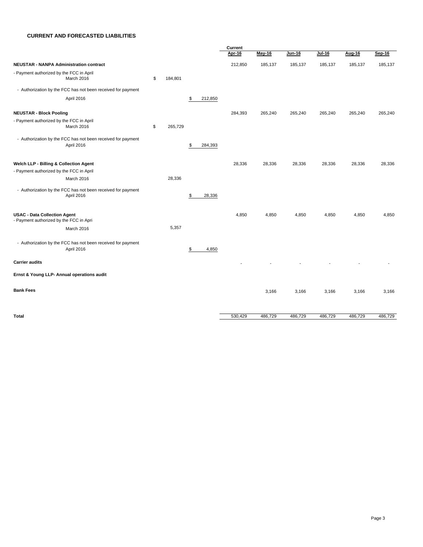#### **CURRENT AND FORECASTED LIABILITIES**

|                                                                                |               |               | Current |         |               |          |         |         |
|--------------------------------------------------------------------------------|---------------|---------------|---------|---------|---------------|----------|---------|---------|
|                                                                                |               |               | Apr-16  | May-16  | <b>Jun-16</b> | $Jul-16$ | Aug-16  | Sep-16  |
| <b>NEUSTAR - NANPA Administration contract</b>                                 |               |               | 212,850 | 185,137 | 185,137       | 185,137  | 185,137 | 185,137 |
| - Payment authorized by the FCC in April                                       |               |               |         |         |               |          |         |         |
| March 2016                                                                     | \$<br>184,801 |               |         |         |               |          |         |         |
| - Authorization by the FCC has not been received for payment                   |               |               |         |         |               |          |         |         |
| April 2016                                                                     |               | \$<br>212,850 |         |         |               |          |         |         |
| <b>NEUSTAR - Block Pooling</b>                                                 |               |               | 284,393 | 265,240 | 265,240       | 265,240  | 265,240 | 265,240 |
| - Payment authorized by the FCC in April                                       |               |               |         |         |               |          |         |         |
| March 2016                                                                     | \$<br>265,729 |               |         |         |               |          |         |         |
| - Authorization by the FCC has not been received for payment                   |               |               |         |         |               |          |         |         |
| April 2016                                                                     |               | \$<br>284,393 |         |         |               |          |         |         |
|                                                                                |               |               |         |         |               |          |         |         |
| Welch LLP - Billing & Collection Agent                                         |               |               | 28,336  | 28,336  | 28,336        | 28,336   | 28,336  | 28,336  |
| - Payment authorized by the FCC in April                                       |               |               |         |         |               |          |         |         |
| March 2016                                                                     | 28,336        |               |         |         |               |          |         |         |
| - Authorization by the FCC has not been received for payment                   |               |               |         |         |               |          |         |         |
| April 2016                                                                     |               | \$<br>28,336  |         |         |               |          |         |         |
|                                                                                |               |               |         |         |               |          |         |         |
| <b>USAC - Data Collection Agent</b><br>- Payment authorized by the FCC in Apri |               |               | 4,850   | 4,850   | 4,850         | 4,850    | 4,850   | 4,850   |
|                                                                                | 5,357         |               |         |         |               |          |         |         |
| March 2016                                                                     |               |               |         |         |               |          |         |         |
| - Authorization by the FCC has not been received for payment                   |               |               |         |         |               |          |         |         |
| April 2016                                                                     |               | 4,850<br>\$   |         |         |               |          |         |         |
|                                                                                |               |               |         |         |               |          |         |         |
| <b>Carrier audits</b>                                                          |               |               |         |         |               |          |         |         |
| Ernst & Young LLP- Annual operations audit                                     |               |               |         |         |               |          |         |         |
| <b>Bank Fees</b>                                                               |               |               |         | 3,166   | 3,166         | 3,166    | 3,166   | 3,166   |
|                                                                                |               |               |         |         |               |          |         |         |
|                                                                                |               |               |         |         |               |          |         |         |
| Total                                                                          |               |               | 530,429 | 486,729 | 486,729       | 486,729  | 486,729 | 486,729 |